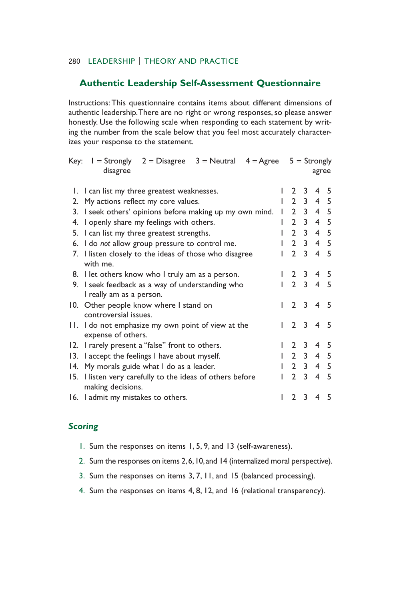## 280 LEADERSHIP | THEORY AND PRACTICE

## **Authentic Leadership Self-Assessment Questionnaire**

Instructions: This questionnaire contains items about different dimensions of authentic leadership. There are no right or wrong responses, so please answer honestly. Use the following scale when responding to each statement by writing the number from the scale below that you feel most accurately characterizes your response to the statement.

| Key: | $I =$ Strongly $2 =$ Disagree<br>$3 =$ Neutral $4 =$ Agree<br>disagree       |   |                       |                  | $5 =$ Strongly<br>agree |     |
|------|------------------------------------------------------------------------------|---|-----------------------|------------------|-------------------------|-----|
|      | 1. I can list my three greatest weaknesses.                                  | L | $\mathbf{2}^{\prime}$ | 3                | 4                       | 5   |
|      | 2. My actions reflect my core values.                                        | L | $\mathbf{2}$          | $\mathbf{3}$     | 4 5                     |     |
|      | 3. I seek others' opinions before making up my own mind.                     | I | $\mathbf{2}$          | 3                | 4 5                     |     |
|      | 4. I openly share my feelings with others.                                   | I | $\mathbf{2}$          | $\mathbf{3}$     | 4 <sub>5</sub>          |     |
|      | 5. I can list my three greatest strengths.                                   | I |                       | $2 \overline{3}$ | 4 <sub>5</sub>          |     |
|      | 6. I do not allow group pressure to control me.                              |   | $\mathbf{2}$          | $\overline{3}$   | 4 <sub>5</sub>          |     |
|      | 7. I listen closely to the ideas of those who disagree<br>with me.           |   | $\mathcal{P}$         | 3                | 4                       | - 5 |
|      | 8. I let others know who I truly am as a person.                             |   | 2 3                   |                  | 4                       | 5   |
|      | 9. I seek feedback as a way of understanding who<br>I really am as a person. | ı |                       | 2 <sub>3</sub>   | $\overline{4}$          | 5   |
|      | 10. Other people know where I stand on<br>controversial issues.              | L |                       | $2 \t3 \t4$      |                         | - 5 |
|      | 11. I do not emphasize my own point of view at the<br>expense of others.     | I |                       | 2 <sub>3</sub>   | $\overline{4}$          | .5  |
|      | 12. I rarely present a "false" front to others.                              |   | $\mathbf{2}$          | 3                | 4                       | 5   |
| 13.  | I accept the feelings I have about myself.                                   | L | 2 3                   |                  | 4 <sub>5</sub>          |     |
|      | 14. My morals guide what I do as a leader.                                   |   |                       | 2 <sub>3</sub>   | 4 <sub>5</sub>          |     |
| 15.  | I listen very carefully to the ideas of others before<br>making decisions.   |   | $\mathbf{2}$          | 3                | 4                       | - 5 |
|      | 16. I admit my mistakes to others.                                           |   | $\mathbf{2}$          | 3                | 4                       | 5   |

#### *Scoring*

- 1. Sum the responses on items 1, 5, 9, and 13 (self-awareness).
- 2. Sum the responses on items 2, 6, 10, and 14 (internalized moral perspective).
- 3. Sum the responses on items 3, 7, 11, and 15 (balanced processing).
- 4. Sum the responses on items 4, 8, 12, and 16 (relational transparency).